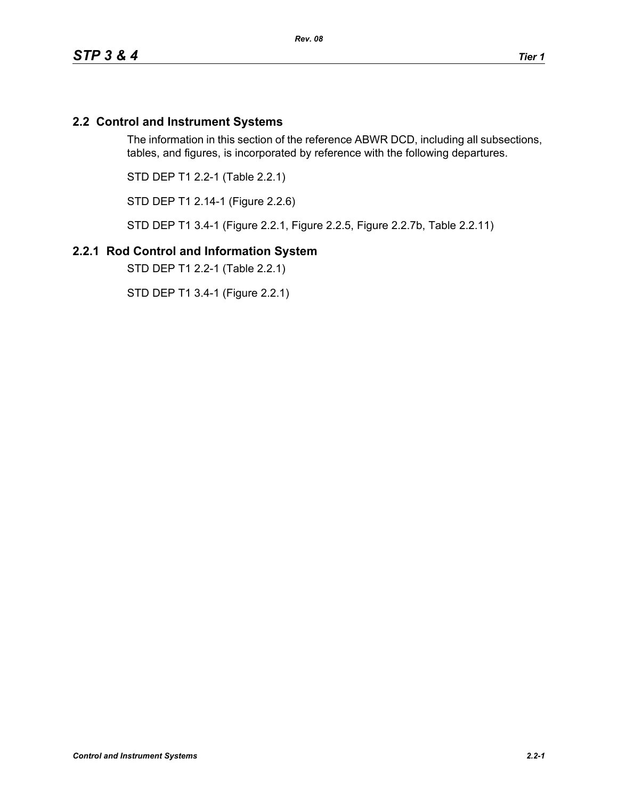## **2.2 Control and Instrument Systems**

The information in this section of the reference ABWR DCD, including all subsections, tables, and figures, is incorporated by reference with the following departures.

STD DEP T1 2.2-1 (Table 2.2.1)

STD DEP T1 2.14-1 (Figure 2.2.6)

STD DEP T1 3.4-1 (Figure 2.2.1, Figure 2.2.5, Figure 2.2.7b, Table 2.2.11)

### **2.2.1 Rod Control and Information System**

STD DEP T1 2.2-1 (Table 2.2.1)

STD DEP T1 3.4-1 (Figure 2.2.1)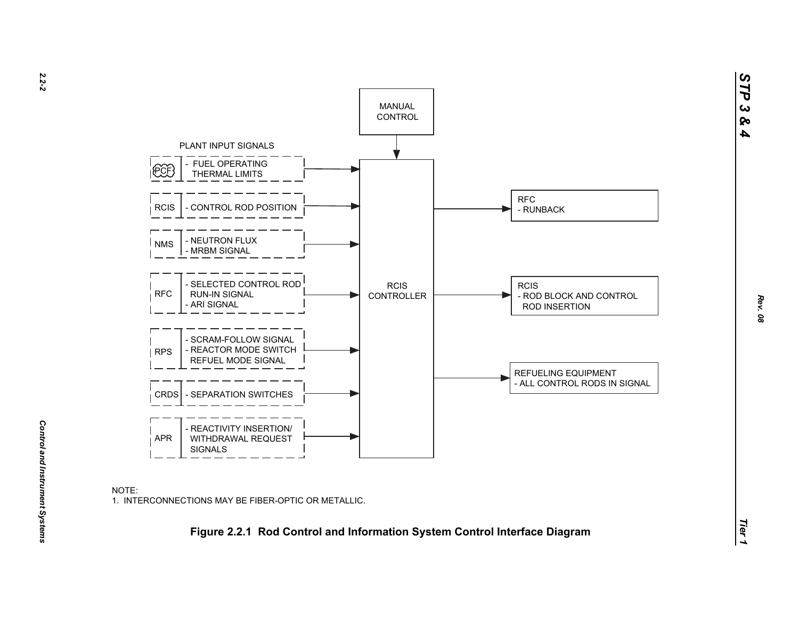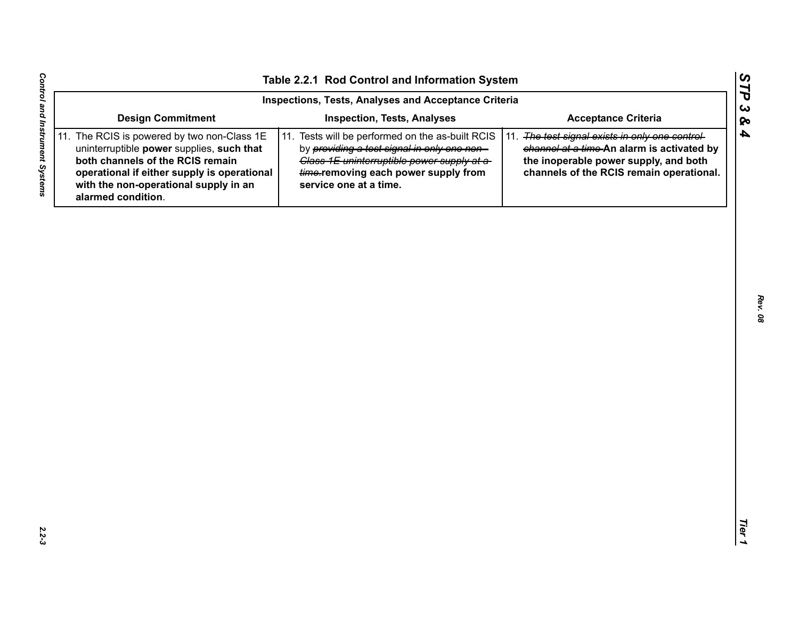| Inspections, Tests, Analyses and Acceptance Criteria                                                                                                                                                                                       |                                                                                                                                                                                                                  |                                                                                                                                                                                       |  |  |  |
|--------------------------------------------------------------------------------------------------------------------------------------------------------------------------------------------------------------------------------------------|------------------------------------------------------------------------------------------------------------------------------------------------------------------------------------------------------------------|---------------------------------------------------------------------------------------------------------------------------------------------------------------------------------------|--|--|--|
| <b>Design Commitment</b>                                                                                                                                                                                                                   | <b>Inspection, Tests, Analyses</b>                                                                                                                                                                               | <b>Acceptance Criteria</b>                                                                                                                                                            |  |  |  |
| 11. The RCIS is powered by two non-Class 1E<br>uninterruptible power supplies, such that<br>both channels of the RCIS remain<br>operational if either supply is operational<br>with the non-operational supply in an<br>alarmed condition. | 11. Tests will be performed on the as-built RCIS<br>by providing a test signal in only one non-<br>Class 1E uninterruptible power supply at a-<br>time-removing each power supply from<br>service one at a time. | The test signal exists in only one control-<br>11.<br>channel at a time-An alarm is activated by<br>the inoperable power supply, and both<br>channels of the RCIS remain operational. |  |  |  |
|                                                                                                                                                                                                                                            |                                                                                                                                                                                                                  |                                                                                                                                                                                       |  |  |  |
|                                                                                                                                                                                                                                            |                                                                                                                                                                                                                  |                                                                                                                                                                                       |  |  |  |
|                                                                                                                                                                                                                                            |                                                                                                                                                                                                                  |                                                                                                                                                                                       |  |  |  |
|                                                                                                                                                                                                                                            |                                                                                                                                                                                                                  |                                                                                                                                                                                       |  |  |  |
|                                                                                                                                                                                                                                            |                                                                                                                                                                                                                  |                                                                                                                                                                                       |  |  |  |
|                                                                                                                                                                                                                                            |                                                                                                                                                                                                                  |                                                                                                                                                                                       |  |  |  |
|                                                                                                                                                                                                                                            |                                                                                                                                                                                                                  |                                                                                                                                                                                       |  |  |  |
|                                                                                                                                                                                                                                            |                                                                                                                                                                                                                  |                                                                                                                                                                                       |  |  |  |
|                                                                                                                                                                                                                                            |                                                                                                                                                                                                                  |                                                                                                                                                                                       |  |  |  |

*STP 3 & 4*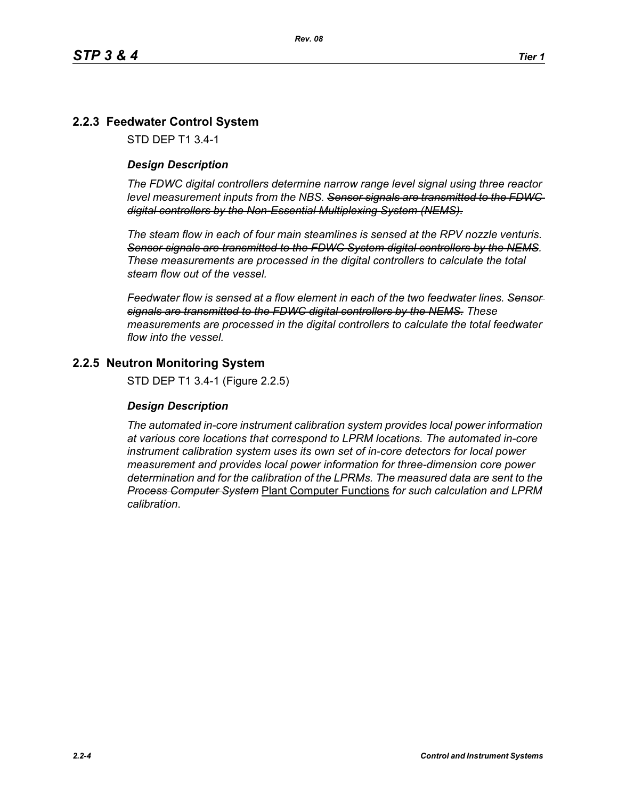## **2.2.3 Feedwater Control System**

STD DEP T1 3.4-1

#### *Design Description*

*The FDWC digital controllers determine narrow range level signal using three reactor level measurement inputs from the NBS. Sensor signals are transmitted to the FDWC digital controllers by the Non-Essential Multiplexing System (NEMS).*

*The steam flow in each of four main steamlines is sensed at the RPV nozzle venturis. Sensor signals are transmitted to the FDWC System digital controllers by the NEMS. These measurements are processed in the digital controllers to calculate the total steam flow out of the vessel.*

*Feedwater flow is sensed at a flow element in each of the two feedwater lines. Sensor signals are transmitted to the FDWC digital controllers by the NEMS. These measurements are processed in the digital controllers to calculate the total feedwater flow into the vessel.*

### **2.2.5 Neutron Monitoring System**

STD DEP T1 3.4-1 (Figure 2.2.5)

#### *Design Description*

*The automated in-core instrument calibration system provides local power information at various core locations that correspond to LPRM locations. The automated in-core instrument calibration system uses its own set of in-core detectors for local power measurement and provides local power information for three-dimension core power determination and for the calibration of the LPRMs. The measured data are sent to the Process Computer System* Plant Computer Functions *for such calculation and LPRM calibration*.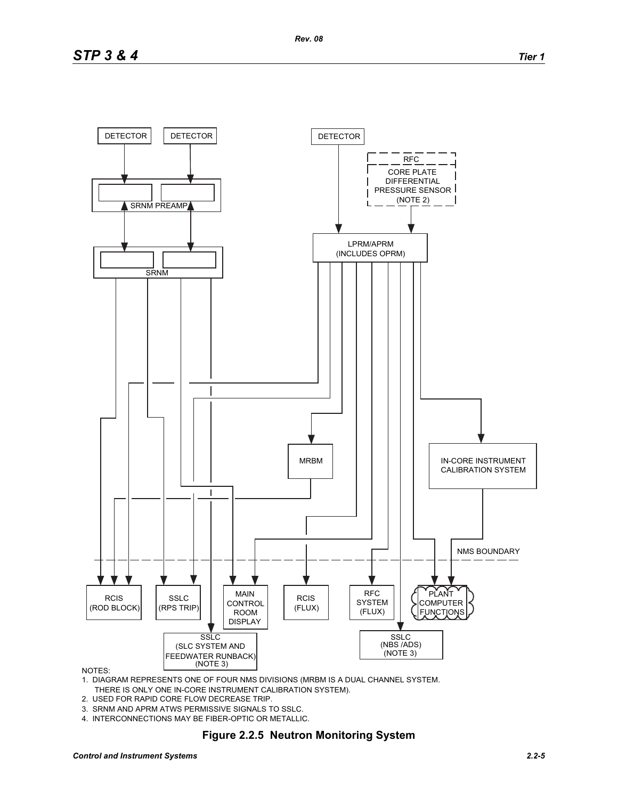

#### NOTES:

- 1. DIAGRAM REPRESENTS ONE OF FOUR NMS DIVISIONS (MRBM IS A DUAL CHANNEL SYSTEM. THERE IS ONLY ONE IN-CORE INSTRUMENT CALIBRATION SYSTEM).
- 2. USED FOR RAPID CORE FLOW DECREASE TRIP.
- 3. SRNM AND APRM ATWS PERMISSIVE SIGNALS TO SSLC.
- 4. INTERCONNECTIONS MAY BE FIBER-OPTIC OR METALLIC.

## **Figure 2.2.5 Neutron Monitoring System**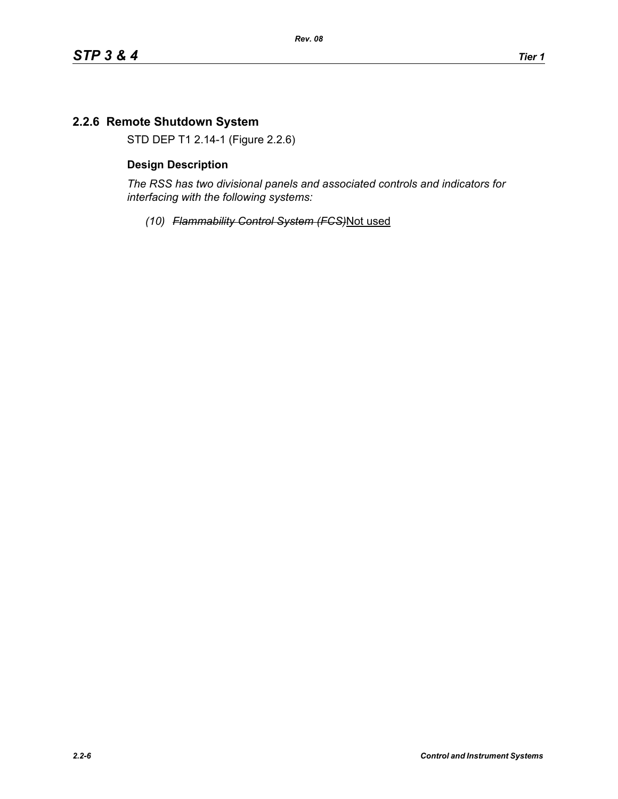# **2.2.6 Remote Shutdown System**

STD DEP T1 2.14-1 (Figure 2.2.6)

## **Design Description**

*The RSS has two divisional panels and associated controls and indicators for interfacing with the following systems:*

*(10) Flammability Control System (FCS)*Not used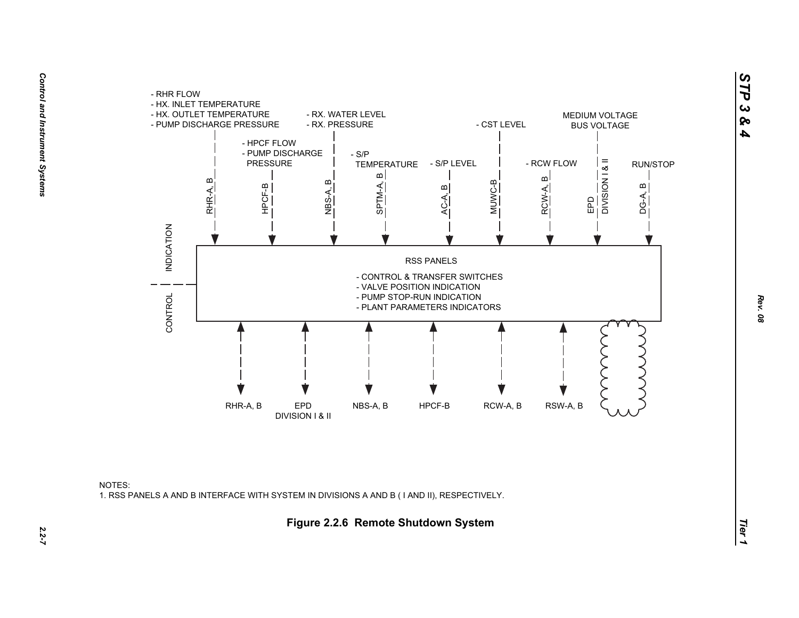

![](_page_6_Figure_2.jpeg)

*STP 3 & 4*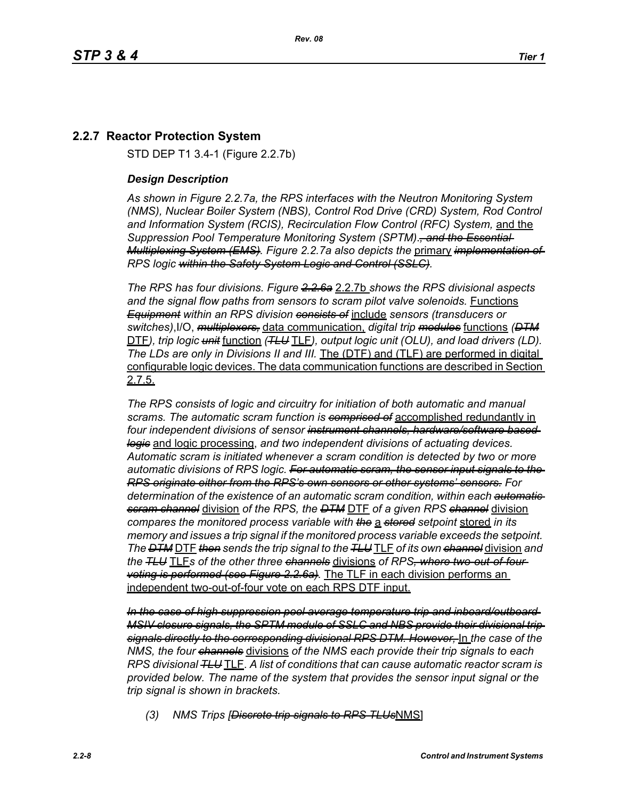# **2.2.7 Reactor Protection System**

STD DEP T1 3.4-1 (Figure 2.2.7b)

#### *Design Description*

*As shown in Figure 2.2.7a, the RPS interfaces with the Neutron Monitoring System (NMS), Nuclear Boiler System (NBS), Control Rod Drive (CRD) System, Rod Control and Information System (RCIS), Recirculation Flow Control (RFC) System,* and the *Suppression Pool Temperature Monitoring System (SPTM)*.*, and the Essential Multiplexing System (EMS). Figure 2.2.7a also depicts the* primary *implementation of RPS logic within the Safety System Logic and Control (SSLC).*

*The RPS has four divisions. Figure 2.2.6a* 2.2.7b *shows the RPS divisional aspects and the signal flow paths from sensors to scram pilot valve solenoids.* Functions *Equipment within an RPS division consists of* include *sensors (transducers or switches)*,I/O, *multiplexers,* data communication, *digital trip modules* functions *(DTM* DTF*), trip logic unit* function *(TLU* TLF*), output logic unit (OLU), and load drivers (LD). The LDs are only in Divisions II and III.* The (DTF) and (TLF) are performed in digital configurable logic devices. The data communication functions are described in Section 2.7.5.

*The RPS consists of logic and circuitry for initiation of both automatic and manual scrams. The automatic scram function is comprised of* accomplished redundantly in *four independent divisions of sensor instrument channels, hardware/software based logic* and logic processing, *and two independent divisions of actuating devices. Automatic scram is initiated whenever a scram condition is detected by two or more automatic divisions of RPS logic. For automatic scram, the sensor input signals to the RPS originate either from the RPS's own sensors or other systems' sensors. For determination of the existence of an automatic scram condition, within each automatic scram channel* division *of the RPS, the DTM* DTF *of a given RPS channel* division *compares the monitored process variable with the* a *stored setpoint* stored *in its memory and issues a trip signal if the monitored process variable exceeds the setpoint. The DTM* DTF *then sends the trip signal to the TLU* TLF *of its own channel* division *and the TLU* TLF*s of the other three channels* divisions *of RPS, where two-out-of-four voting is performed (see Figure 2.2.6a).* The TLF in each division performs an independent two-out-of-four vote on each RPS DTF input.

*In the case of high suppression pool average temperature trip and inboard/outboard MSIV closure signals, the SPTM module of SSLC and NBS provide their divisional trip signals directly to the corresponding divisional RPS DTM. However,* In *the case of the NMS, the four channels* divisions *of the NMS each provide their trip signals to each RPS divisional TLU* TLF. *A list of conditions that can cause automatic reactor scram is provided below. The name of the system that provides the sensor input signal or the trip signal is shown in brackets.*

*(3) NMS Trips [Discrete trip signals to RPS TLUs*NMS]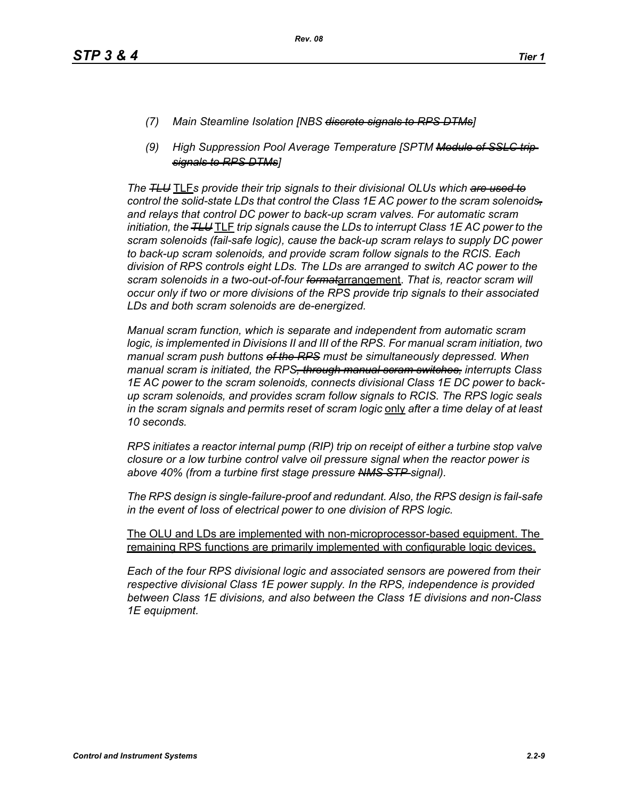- *(7) Main Steamline Isolation [NBS discrete signals to RPS DTMs]*
- *(9) High Suppression Pool Average Temperature [SPTM Module of SSLC trip signals to RPS DTMs]*

*The TLU* TLF*s provide their trip signals to their divisional OLUs which are used to control the solid-state LDs that control the Class 1E AC power to the scram solenoids, and relays that control DC power to back-up scram valves. For automatic scram initiation, the TLU* TLF *trip signals cause the LDs to interrupt Class 1E AC power to the scram solenoids (fail-safe logic), cause the back-up scram relays to supply DC power to back-up scram solenoids, and provide scram follow signals to the RCIS. Each division of RPS controls eight LDs. The LDs are arranged to switch AC power to the scram solenoids in a two-out-of-four format*arrangement. *That is, reactor scram will occur only if two or more divisions of the RPS provide trip signals to their associated LDs and both scram solenoids are de-energized.*

*Manual scram function, which is separate and independent from automatic scram logic, is implemented in Divisions II and III of the RPS. For manual scram initiation, two manual scram push buttons of the RPS must be simultaneously depressed. When manual scram is initiated, the RPS, through manual scram switches, interrupts Class 1E AC power to the scram solenoids, connects divisional Class 1E DC power to backup scram solenoids, and provides scram follow signals to RCIS. The RPS logic seals in the scram signals and permits reset of scram logic* only *after a time delay of at least 10 seconds.*

*RPS initiates a reactor internal pump (RIP) trip on receipt of either a turbine stop valve closure or a low turbine control valve oil pressure signal when the reactor power is above 40% (from a turbine first stage pressure NMS STP signal).*

*The RPS design is single-failure-proof and redundant. Also, the RPS design is fail-safe in the event of loss of electrical power to one division of RPS logic.*

The OLU and LDs are implemented with non-microprocessor-based equipment. The remaining RPS functions are primarily implemented with configurable logic devices.

*Each of the four RPS divisional logic and associated sensors are powered from their respective divisional Class 1E power supply. In the RPS, independence is provided between Class 1E divisions, and also between the Class 1E divisions and non-Class 1E equipment.*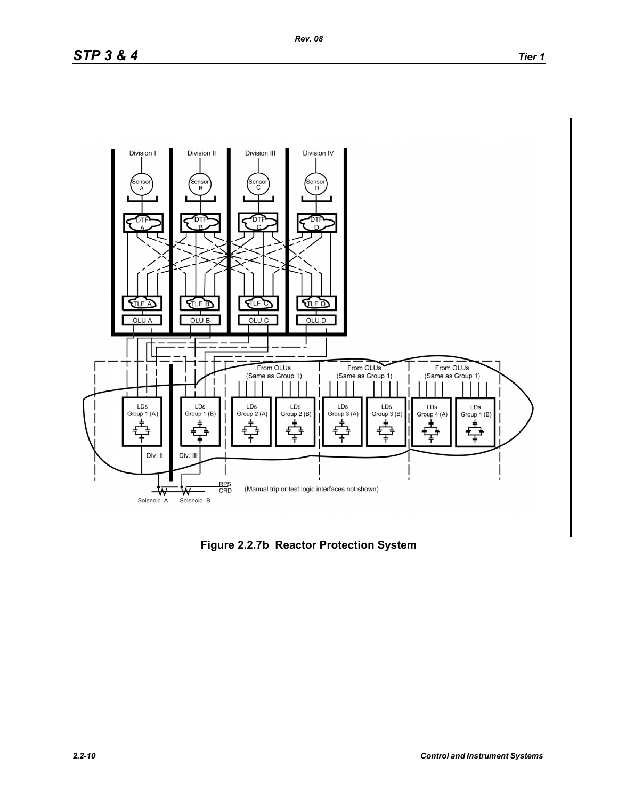![](_page_9_Figure_3.jpeg)

**Figure 2.2.7b Reactor Protection System**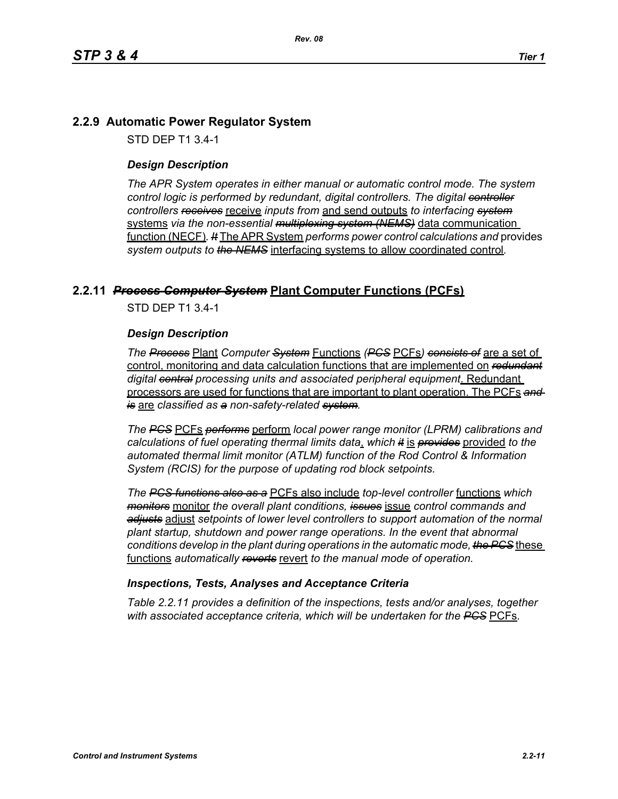## **2.2.9 Automatic Power Regulator System**

STD DEP T1 3.4-1

#### *Design Description*

*The APR System operates in either manual or automatic control mode. The system control logic is performed by redundant, digital controllers. The digital controller controllers receives* receive *inputs from* and send outputs *to interfacing system* systems *via the non-essential multiplexing system (NEMS)* data communication function (NECF)*. It* The APR System *performs power control calculations and* provides *system outputs to the NEMS* interfacing systems to allow coordinated control*.*

## **2.2.11** *Process Computer System* **Plant Computer Functions (PCFs)**

STD DEP T1 3.4-1

#### *Design Description*

*The Process* Plant *Computer System* Functions *(PCS* PCFs*) consists of* are a set of control, monitoring and data calculation functions that are implemented on *redundant digital central processing units and associated peripheral equipment*. Redundant processors are used for functions that are important to plant operation. The PCFs *and is* are *classified as a non-safety-related system.*

*The PCS* PCFs *performs* perform *local power range monitor (LPRM) calibrations and calculations of fuel operating thermal limits data*, *which it* is *provides* provided *to the automated thermal limit monitor (ATLM) function of the Rod Control & Information System (RCIS) for the purpose of updating rod block setpoints.*

*The PCS functions also as a* PCFs also include *top-level controller* functions *which monitors* monitor *the overall plant conditions, issues* issue *control commands and adjusts* adjust *setpoints of lower level controllers to support automation of the normal plant startup, shutdown and power range operations. In the event that abnormal conditions develop in the plant during operations in the automatic mode, the PCS* these functions *automatically reverts* revert *to the manual mode of operation.*

#### *Inspections, Tests, Analyses and Acceptance Criteria*

*Table 2.2.11 provides a definition of the inspections, tests and/or analyses, together with associated acceptance criteria, which will be undertaken for the PCS* PCFs*.*